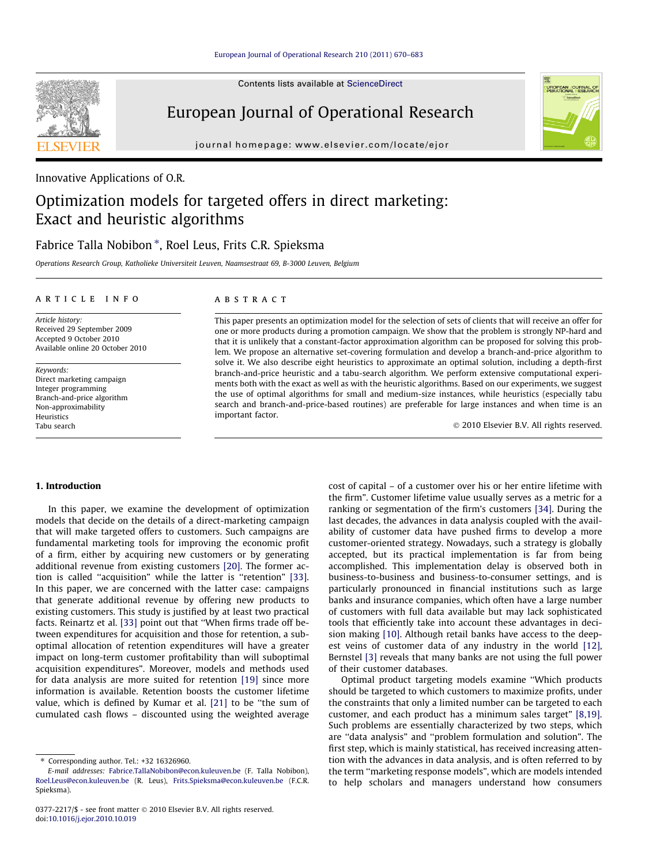Contents lists available at [ScienceDirect](http://www.sciencedirect.com/science/journal/03772217)

## European Journal of Operational Research

journal homepage: [www.elsevier.com/locate/ejor](http://www.elsevier.com/locate/ejor)



## Optimization models for targeted offers in direct marketing: Exact and heuristic algorithms

### Fabrice Talla Nobibon \*, Roel Leus, Frits C.R. Spieksma

Operations Research Group, Katholieke Universiteit Leuven, Naamsestraat 69, B-3000 Leuven, Belgium

#### article info

Article history: Received 29 September 2009 Accepted 9 October 2010 Available online 20 October 2010

Keywords: Direct marketing campaign Integer programming Branch-and-price algorithm Non-approximability Heuristics Tabu search

#### ABSTRACT

This paper presents an optimization model for the selection of sets of clients that will receive an offer for one or more products during a promotion campaign. We show that the problem is strongly NP-hard and that it is unlikely that a constant-factor approximation algorithm can be proposed for solving this problem. We propose an alternative set-covering formulation and develop a branch-and-price algorithm to solve it. We also describe eight heuristics to approximate an optimal solution, including a depth-first branch-and-price heuristic and a tabu-search algorithm. We perform extensive computational experiments both with the exact as well as with the heuristic algorithms. Based on our experiments, we suggest the use of optimal algorithms for small and medium-size instances, while heuristics (especially tabu search and branch-and-price-based routines) are preferable for large instances and when time is an important factor.

- 2010 Elsevier B.V. All rights reserved.

#### 1. Introduction

In this paper, we examine the development of optimization models that decide on the details of a direct-marketing campaign that will make targeted offers to customers. Such campaigns are fundamental marketing tools for improving the economic profit of a firm, either by acquiring new customers or by generating additional revenue from existing customers [\[20\].](#page--1-0) The former ac-tion is called "acquisition" while the latter is "retention" [\[33\].](#page--1-0) In this paper, we are concerned with the latter case: campaigns that generate additional revenue by offering new products to existing customers. This study is justified by at least two practical facts. Reinartz et al. [\[33\]](#page--1-0) point out that ''When firms trade off between expenditures for acquisition and those for retention, a suboptimal allocation of retention expenditures will have a greater impact on long-term customer profitability than will suboptimal acquisition expenditures". Moreover, models and methods used for data analysis are more suited for retention [\[19\]](#page--1-0) since more information is available. Retention boosts the customer lifetime value, which is defined by Kumar et al. [\[21\]](#page--1-0) to be ''the sum of cumulated cash flows – discounted using the weighted average cost of capital – of a customer over his or her entire lifetime with the firm". Customer lifetime value usually serves as a metric for a ranking or segmentation of the firm's customers [\[34\].](#page--1-0) During the last decades, the advances in data analysis coupled with the availability of customer data have pushed firms to develop a more customer-oriented strategy. Nowadays, such a strategy is globally accepted, but its practical implementation is far from being accomplished. This implementation delay is observed both in business-to-business and business-to-consumer settings, and is particularly pronounced in financial institutions such as large banks and insurance companies, which often have a large number of customers with full data available but may lack sophisticated tools that efficiently take into account these advantages in decision making [\[10\].](#page--1-0) Although retail banks have access to the deepest veins of customer data of any industry in the world [\[12\],](#page--1-0) Bernstel [\[3\]](#page--1-0) reveals that many banks are not using the full power of their customer databases.

Optimal product targeting models examine ''Which products should be targeted to which customers to maximize profits, under the constraints that only a limited number can be targeted to each customer, and each product has a minimum sales target" [\[8,19\].](#page--1-0) Such problems are essentially characterized by two steps, which are ''data analysis" and ''problem formulation and solution". The first step, which is mainly statistical, has received increasing attention with the advances in data analysis, and is often referred to by the term ''marketing response models", which are models intended to help scholars and managers understand how consumers





<sup>⇑</sup> Corresponding author. Tel.: +32 16326960.

E-mail addresses: [Fabrice.TallaNobibon@econ.kuleuven.be](mailto:Fabrice.TallaNobibon@econ.kuleuven.be) (F. Talla Nobibon), [Roel.Leus@econ.kuleuven.be](mailto:Roel.Leus@econ.kuleuven.be) (R. Leus), [Frits.Spieksma@econ.kuleuven.be](mailto:Frits.Spieksma@econ.kuleuven.be) (F.C.R. Spieksma).

<sup>0377-2217/\$ -</sup> see front matter © 2010 Elsevier B.V. All rights reserved. doi:[10.1016/j.ejor.2010.10.019](http://dx.doi.org/10.1016/j.ejor.2010.10.019)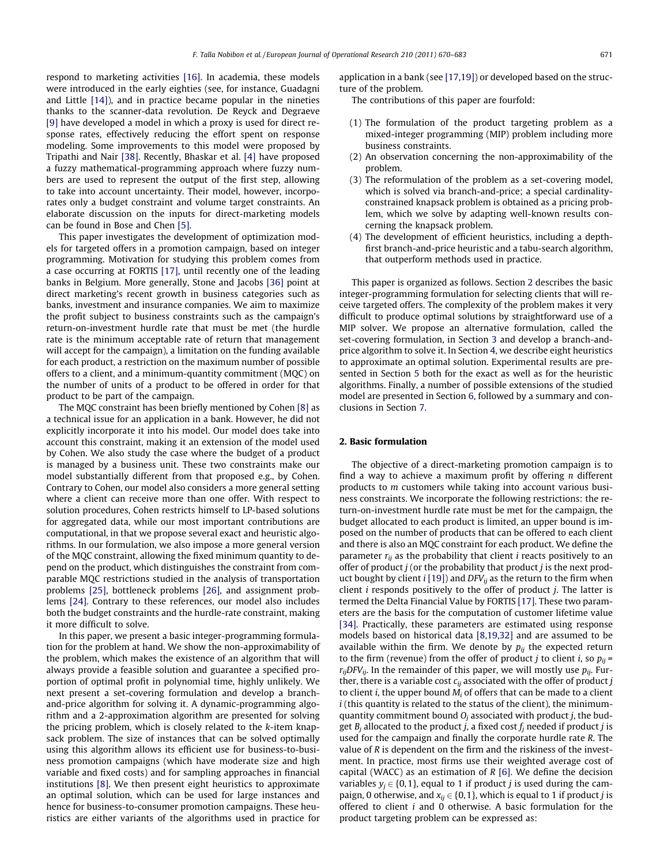respond to marketing activities [\[16\].](#page--1-0) In academia, these models were introduced in the early eighties (see, for instance, Guadagni and Little [\[14\]\)](#page--1-0), and in practice became popular in the nineties thanks to the scanner-data revolution. De Reyck and Degraeve [\[9\]](#page--1-0) have developed a model in which a proxy is used for direct response rates, effectively reducing the effort spent on response modeling. Some improvements to this model were proposed by Tripathi and Nair [\[38\]](#page--1-0). Recently, Bhaskar et al. [\[4\]](#page--1-0) have proposed a fuzzy mathematical-programming approach where fuzzy numbers are used to represent the output of the first step, allowing to take into account uncertainty. Their model, however, incorporates only a budget constraint and volume target constraints. An elaborate discussion on the inputs for direct-marketing models can be found in Bose and Chen [\[5\].](#page--1-0)

This paper investigates the development of optimization models for targeted offers in a promotion campaign, based on integer programming. Motivation for studying this problem comes from a case occurring at FORTIS [\[17\]](#page--1-0), until recently one of the leading banks in Belgium. More generally, Stone and Jacobs [\[36\]](#page--1-0) point at direct marketing's recent growth in business categories such as banks, investment and insurance companies. We aim to maximize the profit subject to business constraints such as the campaign's return-on-investment hurdle rate that must be met (the hurdle rate is the minimum acceptable rate of return that management will accept for the campaign), a limitation on the funding available for each product, a restriction on the maximum number of possible offers to a client, and a minimum-quantity commitment (MQC) on the number of units of a product to be offered in order for that product to be part of the campaign.

The MQC constraint has been briefly mentioned by Cohen [\[8\]](#page--1-0) as a technical issue for an application in a bank. However, he did not explicitly incorporate it into his model. Our model does take into account this constraint, making it an extension of the model used by Cohen. We also study the case where the budget of a product is managed by a business unit. These two constraints make our model substantially different from that proposed e.g., by Cohen. Contrary to Cohen, our model also considers a more general setting where a client can receive more than one offer. With respect to solution procedures, Cohen restricts himself to LP-based solutions for aggregated data, while our most important contributions are computational, in that we propose several exact and heuristic algorithms. In our formulation, we also impose a more general version of the MQC constraint, allowing the fixed minimum quantity to depend on the product, which distinguishes the constraint from comparable MQC restrictions studied in the analysis of transportation problems [\[25\]](#page--1-0), bottleneck problems [\[26\],](#page--1-0) and assignment problems [\[24\]](#page--1-0). Contrary to these references, our model also includes both the budget constraints and the hurdle-rate constraint, making it more difficult to solve.

In this paper, we present a basic integer-programming formulation for the problem at hand. We show the non-approximability of the problem, which makes the existence of an algorithm that will always provide a feasible solution and guarantee a specified proportion of optimal profit in polynomial time, highly unlikely. We next present a set-covering formulation and develop a branchand-price algorithm for solving it. A dynamic-programming algorithm and a 2-approximation algorithm are presented for solving the pricing problem, which is closely related to the  $k$ -item knapsack problem. The size of instances that can be solved optimally using this algorithm allows its efficient use for business-to-business promotion campaigns (which have moderate size and high variable and fixed costs) and for sampling approaches in financial institutions [\[8\].](#page--1-0) We then present eight heuristics to approximate an optimal solution, which can be used for large instances and hence for business-to-consumer promotion campaigns. These heuristics are either variants of the algorithms used in practice for application in a bank (see [\[17,19\]\)](#page--1-0) or developed based on the structure of the problem.

The contributions of this paper are fourfold:

- (1) The formulation of the product targeting problem as a mixed-integer programming (MIP) problem including more business constraints.
- (2) An observation concerning the non-approximability of the problem.
- (3) The reformulation of the problem as a set-covering model, which is solved via branch-and-price; a special cardinalityconstrained knapsack problem is obtained as a pricing problem, which we solve by adapting well-known results concerning the knapsack problem.
- (4) The development of efficient heuristics, including a depthfirst branch-and-price heuristic and a tabu-search algorithm, that outperform methods used in practice.

This paper is organized as follows. Section 2 describes the basic integer-programming formulation for selecting clients that will receive targeted offers. The complexity of the problem makes it very difficult to produce optimal solutions by straightforward use of a MIP solver. We propose an alternative formulation, called the set-covering formulation, in Section [3](#page--1-0) and develop a branch-andprice algorithm to solve it. In Section [4,](#page--1-0) we describe eight heuristics to approximate an optimal solution. Experimental results are presented in Section [5](#page--1-0) both for the exact as well as for the heuristic algorithms. Finally, a number of possible extensions of the studied model are presented in Section [6,](#page--1-0) followed by a summary and conclusions in Section [7.](#page--1-0)

#### 2. Basic formulation

The objective of a direct-marketing promotion campaign is to find a way to achieve a maximum profit by offering  $n$  different products to m customers while taking into account various business constraints. We incorporate the following restrictions: the return-on-investment hurdle rate must be met for the campaign, the budget allocated to each product is limited, an upper bound is imposed on the number of products that can be offered to each client and there is also an MQC constraint for each product. We define the parameter  $r_{ii}$  as the probability that client *i* reacts positively to an offer of product  $j$  (or the probability that product  $j$  is the next product bought by client  $i$  [\[19\]](#page--1-0)) and DFV<sub>ij</sub> as the return to the firm when client  $i$  responds positively to the offer of product  $j$ . The latter is termed the Delta Financial Value by FORTIS [\[17\].](#page--1-0) These two parameters are the basis for the computation of customer lifetime value [\[34\]](#page--1-0). Practically, these parameters are estimated using response models based on historical data [\[8,19,32\]](#page--1-0) and are assumed to be available within the firm. We denote by  $p_{ij}$  the expected return to the firm (revenue) from the offer of product *j* to client *i*, so  $p_{ii}$  =  $r_{ij}$ DFV<sub>ij</sub>. In the remainder of this paper, we will mostly use  $p_{ij}$ . Further, there is a variable cost  $c_{ij}$  associated with the offer of product j to client *i*, the upper bound  $M_i$  of offers that can be made to a client  $i$  (this quantity is related to the status of the client), the minimumquantity commitment bound  $O_i$  associated with product *j*, the budget  $B_i$  allocated to the product j, a fixed cost  $f_i$  needed if product j is used for the campaign and finally the corporate hurdle rate R. The value of R is dependent on the firm and the riskiness of the investment. In practice, most firms use their weighted average cost of capital (WACC) as an estimation of  $R$  [\[6\].](#page--1-0) We define the decision variables  $y_i \in \{0,1\}$ , equal to 1 if product *j* is used during the campaign, 0 otherwise, and  $x_{ii} \in \{0,1\}$ , which is equal to 1 if product *j* is offered to client i and 0 otherwise. A basic formulation for the product targeting problem can be expressed as: